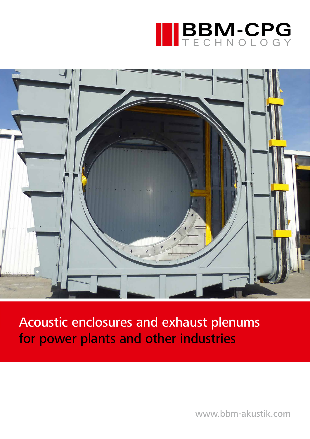



Acoustic enclosures and exhaust plenums for power plants and other industries

www.bbm-akustik.com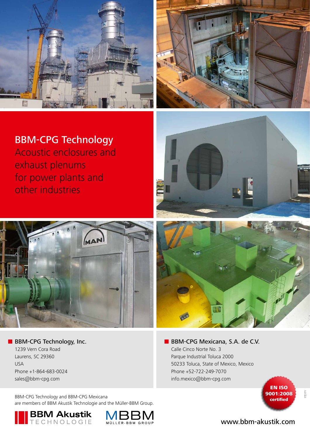



## BBM-CPG Technology

Acoustic enclosures and exhaust plenums for power plants and other industries



**BBM-CPG Technology, Inc.** 1239 Vern Cora Road Laurens, SC 29360 USA Phone +1-864-683-0024 sales@bbm-cpg.com

BBM-CPG Technology and BBM-CPG Mexicana are members of BBM Akustik Technologie and the Müller-BBM Group.









**BBM-CPG Mexicana, S.A. de C.V.** Calle Cinco Norte No. 3 Parque Industrial Toluca 2000 50233 Toluca, State of Mexico, Mexico Phone +52-722-249-7070 info.mexico@bbm-cpg.com



17|171

#### www.bbm-akustik.com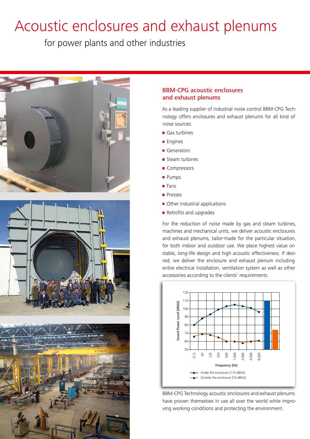# Acoustic enclosures and exhaust plenums

for power plants and other industries







#### BBM-CPG acoustic enclosures and exhaust plenums

As a leading supplier of industrial noise control BBM-CPG Technology offers enclosures and exhaust plenums for all kind of noise sources:

- Gas turbines
- **Engines**
- Generators
- Steam turbines
- Compressors
- **Pumps**
- **Fans**
- **Presses**
- Other industrial applications
- Retrofits and upgrades

For the reduction of noise made by gas and steam turbines, machines and mechanical units, we deliver acoustic enclosures and exhaust plenums, tailor-made for the particular situation, for both indoor and outdoor use. We place highest value on stable, long-life design and high acoustic effectiveness. If desired, we deliver the enclosure and exhaust plenum including entire electrical installation, ventilation system as well as other accessories according to the clients' requirements.



BBM-CPG Technology acoustic enclosures and exhaust plenums have proven themselves in use all over the world while improving working conditions and protecting the environment.